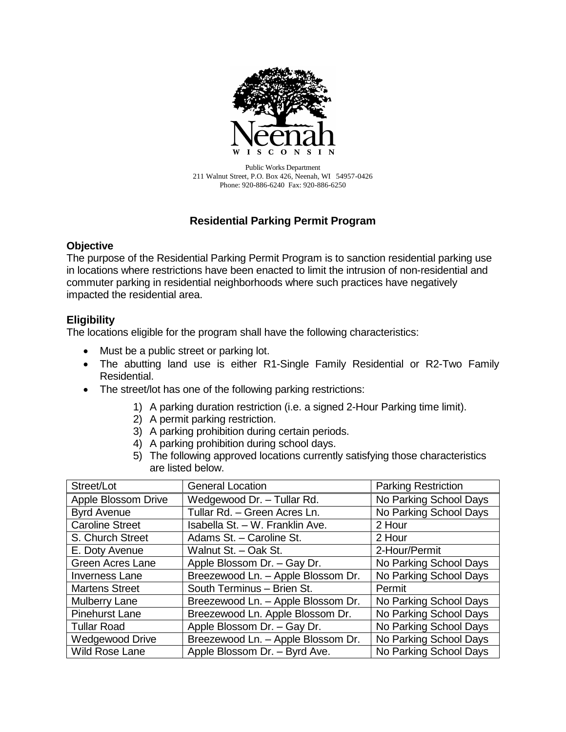

Public Works Department 211 Walnut Street, P.O. Box 426, Neenah, WI 54957-0426 Phone: 920-886-6240 Fax: 920-886-6250

# **Residential Parking Permit Program**

### **Objective**

The purpose of the Residential Parking Permit Program is to sanction residential parking use in locations where restrictions have been enacted to limit the intrusion of non-residential and commuter parking in residential neighborhoods where such practices have negatively impacted the residential area.

# **Eligibility**

The locations eligible for the program shall have the following characteristics:

- Must be a public street or parking lot.
- The abutting land use is either R1-Single Family Residential or R2-Two Family Residential.
- The street/lot has one of the following parking restrictions:
	- 1) A parking duration restriction (i.e. a signed 2-Hour Parking time limit).
	- 2) A permit parking restriction.
	- 3) A parking prohibition during certain periods.
	- 4) A parking prohibition during school days.
	- 5) The following approved locations currently satisfying those characteristics are listed below.

| Street/Lot              | <b>General Location</b>            | <b>Parking Restriction</b> |
|-------------------------|------------------------------------|----------------------------|
| Apple Blossom Drive     | Wedgewood Dr. - Tullar Rd.         | No Parking School Days     |
| <b>Byrd Avenue</b>      | Tullar Rd. - Green Acres Ln.       | No Parking School Days     |
| <b>Caroline Street</b>  | Isabella St. - W. Franklin Ave.    | 2 Hour                     |
| S. Church Street        | Adams St. - Caroline St.           | 2 Hour                     |
| E. Doty Avenue          | Walnut St. - Oak St.               | 2-Hour/Permit              |
| <b>Green Acres Lane</b> | Apple Blossom Dr. - Gay Dr.        | No Parking School Days     |
| <b>Inverness Lane</b>   | Breezewood Ln. - Apple Blossom Dr. | No Parking School Days     |
| <b>Martens Street</b>   | South Terminus - Brien St.         | Permit                     |
| <b>Mulberry Lane</b>    | Breezewood Ln. - Apple Blossom Dr. | No Parking School Days     |
| <b>Pinehurst Lane</b>   | Breezewood Ln. Apple Blossom Dr.   | No Parking School Days     |
| <b>Tullar Road</b>      | Apple Blossom Dr. - Gay Dr.        | No Parking School Days     |
| <b>Wedgewood Drive</b>  | Breezewood Ln. - Apple Blossom Dr. | No Parking School Days     |
| <b>Wild Rose Lane</b>   | Apple Blossom Dr. - Byrd Ave.      | No Parking School Days     |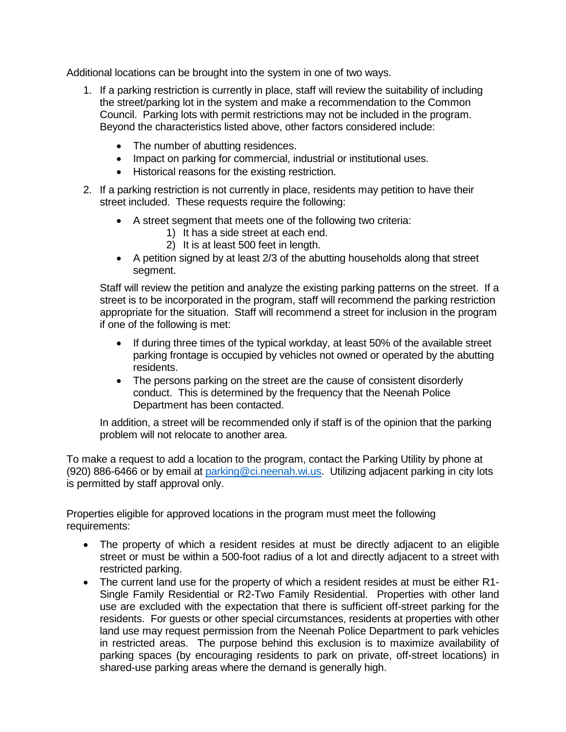Additional locations can be brought into the system in one of two ways.

- 1. If a parking restriction is currently in place, staff will review the suitability of including the street/parking lot in the system and make a recommendation to the Common Council. Parking lots with permit restrictions may not be included in the program. Beyond the characteristics listed above, other factors considered include:
	- The number of abutting residences.
	- Impact on parking for commercial, industrial or institutional uses.
	- Historical reasons for the existing restriction.
- 2. If a parking restriction is not currently in place, residents may petition to have their street included. These requests require the following:
	- A street segment that meets one of the following two criteria:
		- 1) It has a side street at each end.
		- 2) It is at least 500 feet in length.
	- $\bullet$  A petition signed by at least 2/3 of the abutting households along that street segment.

Staff will review the petition and analyze the existing parking patterns on the street. If a street is to be incorporated in the program, staff will recommend the parking restriction appropriate for the situation. Staff will recommend a street for inclusion in the program if one of the following is met:

- If during three times of the typical workday, at least 50% of the available street parking frontage is occupied by vehicles not owned or operated by the abutting residents.
- The persons parking on the street are the cause of consistent disorderly conduct. This is determined by the frequency that the Neenah Police Department has been contacted.

In addition, a street will be recommended only if staff is of the opinion that the parking problem will not relocate to another area.

To make a request to add a location to the program, contact the Parking Utility by phone at (920) 886-6466 or by email at [parking@ci.neenah.wi.us.](mailto:parking@ci.neenah.wi.us) Utilizing adjacent parking in city lots is permitted by staff approval only.

Properties eligible for approved locations in the program must meet the following requirements:

- The property of which a resident resides at must be directly adjacent to an eligible street or must be within a 500-foot radius of a lot and directly adjacent to a street with restricted parking.
- The current land use for the property of which a resident resides at must be either R1- Single Family Residential or R2-Two Family Residential. Properties with other land use are excluded with the expectation that there is sufficient off-street parking for the residents. For guests or other special circumstances, residents at properties with other land use may request permission from the Neenah Police Department to park vehicles in restricted areas. The purpose behind this exclusion is to maximize availability of parking spaces (by encouraging residents to park on private, off-street locations) in shared-use parking areas where the demand is generally high.